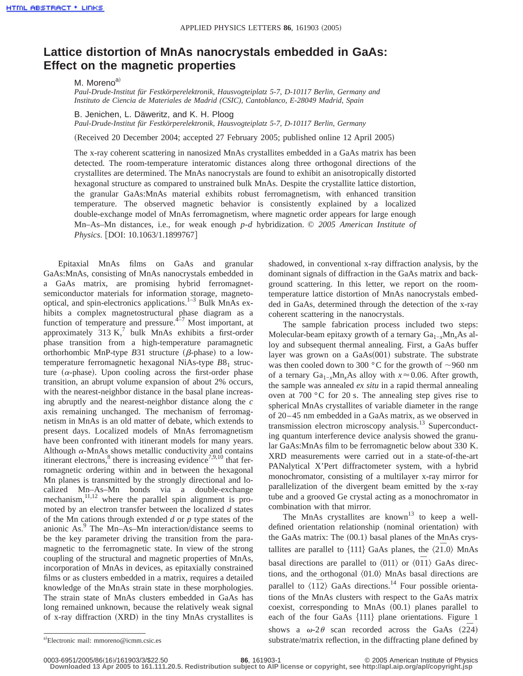## **Lattice distortion of MnAs nanocrystals embedded in GaAs: Effect on the magnetic properties**

M. Moreno<sup>a)</sup>

*Paul-Drude-Institut für Festkörperelektronik, Hausvogteiplatz 5-7, D-10117 Berlin, Germany and Instituto de Ciencia de Materiales de Madrid (CSIC), Cantoblanco, E-28049 Madrid, Spain*

B. Jenichen, L. Däweritz, and K. H. Ploog

*Paul-Drude-Institut für Festkörperelektronik, Hausvogteiplatz 5-7, D-10117 Berlin, Germany*

(Received 20 December 2004; accepted 27 February 2005; published online 12 April 2005)

The x-ray coherent scattering in nanosized MnAs crystallites embedded in a GaAs matrix has been detected. The room-temperature interatomic distances along three orthogonal directions of the crystallites are determined. The MnAs nanocrystals are found to exhibit an anisotropically distorted hexagonal structure as compared to unstrained bulk MnAs. Despite the crystallite lattice distortion, the granular GaAs:MnAs material exhibits robust ferromagnetism, with enhanced transition temperature. The observed magnetic behavior is consistently explained by a localized double-exchange model of MnAs ferromagnetism, where magnetic order appears for large enough Mn–As–Mn distances, i.e., for weak enough *p*-*d* hybridization. © *2005 American Institute of Physics.* [DOI: 10.1063/1.1899767]

Epitaxial MnAs films on GaAs and granular GaAs:MnAs, consisting of MnAs nanocrystals embedded in a GaAs matrix, are promising hybrid ferromagnetsemiconductor materials for information storage, magnetooptical, and spin-electronics applications. $1-3$  Bulk MnAs exhibits a complex magnetostructural phase diagram as a function of temperature and pressure. $4\frac{4\pi}{7}$  Most important, at approximately  $313 \text{ K}$ , bulk MnAs exhibits a first-order phase transition from a high-temperature paramagnetic orthorhombic MnP-type  $B31$  structure ( $\beta$ -phase) to a lowtemperature ferromagnetic hexagonal NiAs-type  $B8<sub>1</sub>$  structure ( $\alpha$ -phase). Upon cooling across the first-order phase transition, an abrupt volume expansion of about 2% occurs, with the nearest-neighbor distance in the basal plane increasing abruptly and the nearest-neighbor distance along the *c* axis remaining unchanged. The mechanism of ferromagnetism in MnAs is an old matter of debate, which extends to present days. Localized models of MnAs ferromagnetism have been confronted with itinerant models for many years. Although  $\alpha$ -MnAs shows metallic conductivity and contains itinerant electrons, $8$  there is increasing evidence<sup>7,9,10</sup> that ferromagnetic ordering within and in between the hexagonal Mn planes is transmitted by the strongly directional and localized Mn–As–Mn bonds via a double-exchange mechanism,<sup>11,12</sup> where the parallel spin alignment is promoted by an electron transfer between the localized *d* states of the Mn cations through extended *d* or *p* type states of the anionic  $\text{As}$ <sup>9</sup>. The Mn–As–Mn interaction/distance seems to be the key parameter driving the transition from the paramagnetic to the ferromagnetic state. In view of the strong coupling of the structural and magnetic properties of MnAs, incorporation of MnAs in devices, as epitaxially constrained films or as clusters embedded in a matrix, requires a detailed knowledge of the MnAs strain state in these morphologies. The strain state of MnAs clusters embedded in GaAs has long remained unknown, because the relatively weak signal of x-ray diffraction  $(XRD)$  in the tiny MnAs crystallites is shadowed, in conventional x-ray diffraction analysis, by the dominant signals of diffraction in the GaAs matrix and background scattering. In this letter, we report on the roomtemperature lattice distortion of MnAs nanocrystals embedded in GaAs, determined through the detection of the x-ray coherent scattering in the nanocrystals.

The sample fabrication process included two steps: Molecular-beam epitaxy growth of a ternary Ga<sub>1−*x*</sub>Mn<sub>*x*</sub>As alloy and subsequent thermal annealing. First, a GaAs buffer layer was grown on a  $GaAs(001)$  substrate. The substrate was then cooled down to 300  $^{\circ}$ C for the growth of  $\sim$ 960 nm of a ternary Ga1−*x*Mn*x*As alloy with *x*<0.06. After growth, the sample was annealed *ex situ* in a rapid thermal annealing oven at 700 °C for 20 s. The annealing step gives rise to spherical MnAs crystallites of variable diameter in the range of 20–45 nm embedded in a GaAs matrix, as we observed in transmission electron microscopy analysis.<sup>13</sup> Superconducting quantum interference device analysis showed the granular GaAs:MnAs film to be ferromagnetic below about 330 K. XRD measurements were carried out in a state-of-the-art PANalytical X'Pert diffractometer system, with a hybrid monochromator, consisting of a multilayer x-ray mirror for parallelization of the divergent beam emitted by the x-ray tube and a grooved Ge crystal acting as a monochromator in combination with that mirror.

The MnAs crystallites are known<sup>13</sup> to keep a welldefined orientation relationship (nominal orientation) with the GaAs matrix: The  $(00.1)$  basal planes of the MnAs crystallites are parallel to  $\{111\}$  GaAs planes, the  $\langle 2\bar{1}$ .0) MnAs basal directions are parallel to  $\langle 011 \rangle$  or  $\langle 011 \rangle$  GaAs directions, and the orthogonal  $\langle 01.0 \rangle$  MnAs basal directions are parallel to  $\langle 11\rangle$  GaAs directions.<sup>14</sup> Four possible orientations of the MnAs clusters with respect to the GaAs matrix coexist, corresponding to MnAs  $(00.1)$  planes parallel to each of the four GaAs  $\{111\}$  plane orientations. Figure 1 shows a  $\omega$ -2 $\theta$  scan recorded across the GaAs (22<sup> $\bar{2}$ 4)</sup> substrate/matrix reflection, in the diffracting plane defined by

0003-6951/2005/86(16)/161903/3/\$22.50 **86**, 161903-1 © 2005 American Institute of Physics

**Downloaded 13 Apr 2005 to 161.111.20.5. Redistribution subject to AIP license or copyright, see http://apl.aip.org/apl/copyright.jsp**

<sup>&</sup>lt;sup>a)</sup>Electronic mail: mmoreno@icmm.csic.es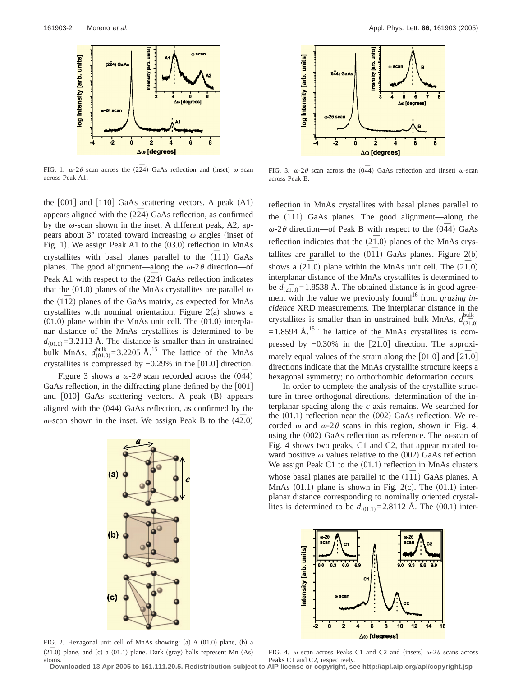

FIG. 1.  $\omega$ -2 $\theta$  scan across the (2 $\overline{2}4$ ) GaAs reflection and (inset)  $\omega$  scan across Peak A1.

the  $[001]$  and  $[\overline{1}10]$  GaAs scattering vectors. A peak  $(A1)$ appears aligned with the  $(2\bar{2}4)$  GaAs reflection, as confirmed by the  $\omega$ -scan shown in the inset. A different peak, A2, appears about  $3^\circ$  rotated toward increasing  $\omega$  angles (inset of Fig. 1). We assign Peak A1 to the  $(03.0)$  reflection in MnAs crystallites with basal planes parallel to the  $(\overline{1}11)$  GaAs planes. The good alignment—along the  $\omega$ -2 $\theta$  direction—of Peak A1 with respect to the  $(2\overline{2}4)$  GaAs reflection indicates that the  $(01.0)$  planes of the MnAs crystallites are parallel to the  $(1\overline{1}2)$  planes of the GaAs matrix, as expected for MnAs crystallites with nominal orientation. Figure  $2(a)$  shows a  $(01.0)$  plane within the MnAs unit cell. The  $(01.0)$  interplanar distance of the MnAs crystallites is determined to be  $d_{(01.0)} = 3.2113$  Å. The distance is smaller than in unstrained bulk MnAs,  $d_{(01.0)}^{\text{bulk}} = 3.2205 \text{ Å}.^{15}$  The lattice of the MnAs crystallites is compressed by  $-0.29\%$  in the [01.0] direction.

Figure 3 shows a  $\omega$ -2 $\theta$  scan recorded across the (044) GaAs reflection, in the diffracting plane defined by the  $[001]$ and  $\lceil 010 \rceil$  GaAs scattering vectors. A peak  $\lceil B \rceil$  appears aligned with the  $(044)$  GaAs reflection, as confirmed by the  $\omega$ -scan shown in the inset. We assign Peak B to the  $(42.0)$ 



FIG. 2. Hexagonal unit cell of MnAs showing: (a) A  $(01.0)$  plane, (b) a  $(2\overline{1}.0)$  plane, and (c) a  $(01.1)$  plane. Dark (gray) balls represent Mn  $(As)$ atoms.



FIG. 3.  $\omega$ -2 $\theta$  scan across the (0 $\overline{4}4$ ) GaAs reflection and (inset)  $\omega$ -scan across Peak B.

reflection in MnAs crystallites with basal planes parallel to the  $(111)$  GaAs planes. The good alignment—along the  $\omega$ -2 $\theta$  direction—of Peak B with respect to the  $(044)$  GaAs reflection indicates that the  $(2\bar{1}.0)$  planes of the MnAs crystallites are parallel to the  $(0\bar{1}1)$  GaAs planes. Figure 2(b) shows a  $(2\overline{1}$ .0) plane within the MnAs unit cell. The  $(2\overline{1}$ .0) interplanar distance of the MnAs crystallites is determined to be  $d_{(2\bar{1},0)} = 1.8538$  Å. The obtained distance is in good agreement with the value we previously found<sup>16</sup> from *grazing incidence* XRD measurements. The interplanar distance in the crystallites is smaller than in unstrained bulk MnAs,  $d_{(2\bar{1},0)}^{\text{bulk}}$ bulk  $=1.8594$  Å.<sup>15</sup> The lattice of the MnAs crystallites is compressed by −0.30% in the [21<sup>*o*</sup>.0] direction. The approximately equal values of the strain along the  $[01.0]$  and  $[2\overline{1.0}]$ directions indicate that the MnAs crystallite structure keeps a hexagonal symmetry; no orthorhombic deformation occurs.

In order to complete the analysis of the crystallite structure in three orthogonal directions, determination of the interplanar spacing along the *c* axis remains. We searched for the  $(01.1)$  reflection near the  $(002)$  GaAs reflection. We recorded  $\omega$  and  $\omega$ -2 $\theta$  scans in this region, shown in Fig. 4, using the (002) GaAs reflection as reference. The  $\omega$ -scan of Fig. 4 shows two peaks, C1 and C2, that appear rotated toward positive  $\omega$  values relative to the (002) GaAs reflection. We assign Peak C1 to the  $(01.1)$  reflection in MnAs clusters whose basal planes are parallel to the (111) GaAs planes. A MnAs  $(01.1)$  plane is shown in Fig. 2(c). The  $(01.1)$  interplanar distance corresponding to nominally oriented crystallites is determined to be  $d_{(01,1)}=2.8112$  Å. The  $(00.1)$  inter-



FIG. 4.  $\omega$  scan across Peaks C1 and C2 and (insets)  $\omega$ -2 $\theta$  scans across Peaks C1 and C2, respectively.

**Downloaded 13 Apr 2005 to 161.111.20.5. Redistribution subject to AIP license or copyright, see http://apl.aip.org/apl/copyright.jsp**